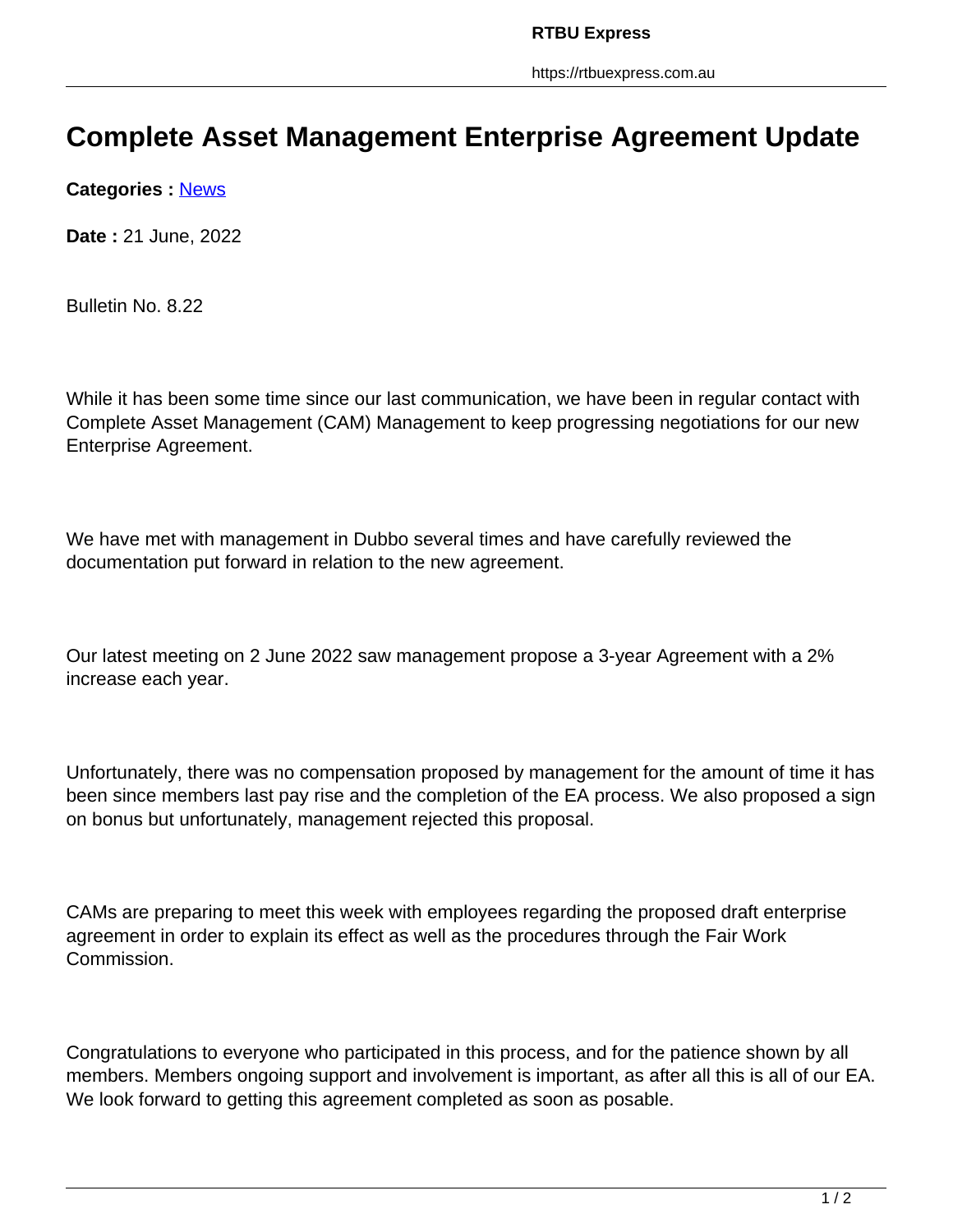https://rtbuexpress.com.au

## **Complete Asset Management Enterprise Agreement Update**

**Categories :** [News](https://rtbuexpress.com.au/category/news/)

**Date :** 21 June, 2022

Bulletin No. 8.22

While it has been some time since our last communication, we have been in regular contact with Complete Asset Management (CAM) Management to keep progressing negotiations for our new Enterprise Agreement.

We have met with management in Dubbo several times and have carefully reviewed the documentation put forward in relation to the new agreement.

Our latest meeting on 2 June 2022 saw management propose a 3-year Agreement with a 2% increase each year.

Unfortunately, there was no compensation proposed by management for the amount of time it has been since members last pay rise and the completion of the EA process. We also proposed a sign on bonus but unfortunately, management rejected this proposal.

CAMs are preparing to meet this week with employees regarding the proposed draft enterprise agreement in order to explain its effect as well as the procedures through the Fair Work Commission.

Congratulations to everyone who participated in this process, and for the patience shown by all members. Members ongoing support and involvement is important, as after all this is all of our EA. We look forward to getting this agreement completed as soon as posable.